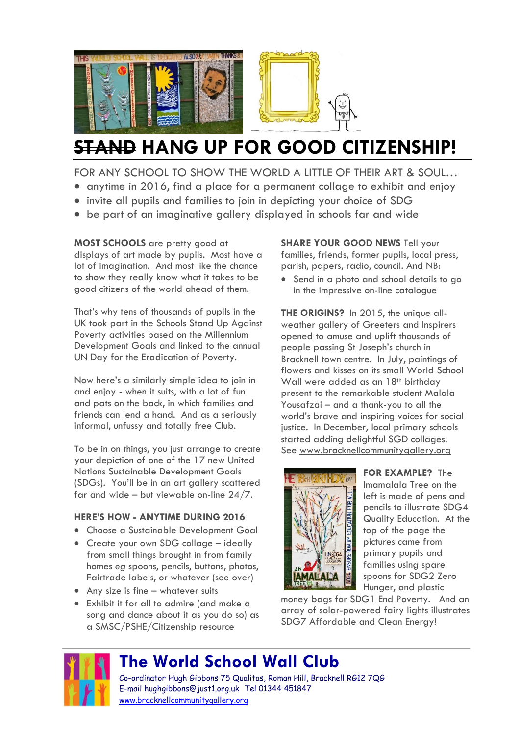

# **STAND HANG UP FOR GOOD CITIZENSHIP!**

FOR ANY SCHOOL TO SHOW THE WORLD A LITTLE OF THEIR ART & SOUL...

- anytime in 2016, find a place for a permanent collage to exhibit and enjoy
- invite all pupils and families to join in depicting your choice of SDG
- be part of an imaginative gallery displayed in schools far and wide

**MOST SCHOOLS** are pretty good at displays of art made by pupils. Most have a lot of imagination. And most like the chance to show they really know what it takes to be good citizens of the world ahead of them.

That's why tens of thousands of pupils in the UK took part in the Schools Stand Up Against Poverty activities based on the Millennium Development Goals and linked to the annual UN Day for the Eradication of Poverty.

Now here's a similarly simple idea to join in and enjoy - when it suits, with a lot of fun and pats on the back, in which families and friends can lend a hand. And as a seriously informal, unfussy and totally free Club.

To be in on things, you just arrange to create your depiction of one of the 17 new United Nations Sustainable Development Goals (SDGs). You'll be in an art gallery scattered far and wide – but viewable on-line 24/7.

#### **HERE'S HOW - ANYTIME DURING 2016**

- Choose a Sustainable Development Goal
- Create your own SDG collage ideally from small things brought in from family homes *eg* spoons, pencils, buttons, photos, Fairtrade labels, or whatever (see over)
- Any size is fine whatever suits
- Exhibit it for all to admire (and make a song and dance about it as you do so) as a SMSC/PSHE/Citizenship resource

**SHARE YOUR GOOD NEWS Tell your** families, friends, former pupils, local press, parish, papers, radio, council. And NB:

• Send in a photo and school details to go in the impressive on-line catalogue

**THE ORIGINS?** In 2015, the unique allweather gallery of Greeters and Inspirers opened to amuse and uplift thousands of people passing St Joseph's church in Bracknell town centre. In July, paintings of flowers and kisses on its small World School Wall were added as an 18<sup>th</sup> birthday present to the remarkable student Malala Yousafzai – and a thank-you to all the world's brave and inspiring voices for social justice. In December, local primary schools started adding delightful SGD collages. See [www.bracknellcommunitygallery.org](http://www.bracknellcommunitygallery.org/)



**FOR EXAMPLE?** The Imamalala Tree on the left is made of pens and pencils to illustrate SDG4 Quality Education. At the top of the page the pictures came from primary pupils and families using spare spoons for SDG2 Zero Hunger, and plastic

money bags for SDG1 End Poverty. And an array of solar-powered fairy lights illustrates SDG7 Affordable and Clean Energy!



## **The World School Wall Club**

Co-ordinator Hugh Gibbons 75 Qualitas, Roman Hill, Bracknell RG12 7QG E-mail [hughgibbons@just1.org.uk](mailto:hughgibbons@just1.org.uk) Tel 01344 451847 [www.bracknellcommunitygallery.org](http://www.bracknellcommunitygallery.org/)